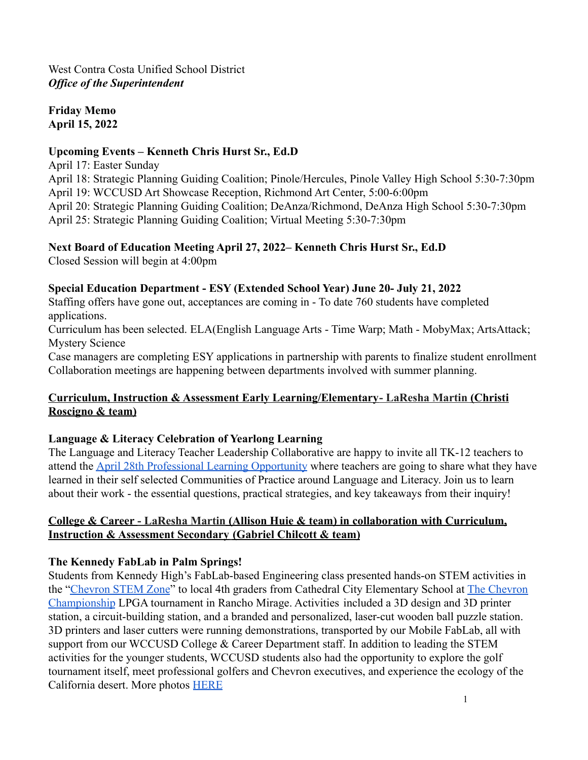West Contra Costa Unified School District *Office of the Superintendent*

**Friday Memo April 15, 2022**

#### **Upcoming Events – Kenneth Chris Hurst Sr., Ed.D**

April 17: Easter Sunday April 18: Strategic Planning Guiding Coalition; Pinole/Hercules, Pinole Valley High School 5:30-7:30pm April 19: WCCUSD Art Showcase Reception, Richmond Art Center, 5:00-6:00pm April 20: Strategic Planning Guiding Coalition; DeAnza/Richmond, DeAnza High School 5:30-7:30pm April 25: Strategic Planning Guiding Coalition; Virtual Meeting 5:30-7:30pm

### **Next Board of Education Meeting April 27, 2022– Kenneth Chris Hurst Sr., Ed.D**

Closed Session will begin at 4:00pm

#### **Special Education Department - ESY (Extended School Year) June 20- July 21, 2022**

Staffing offers have gone out, acceptances are coming in - To date 760 students have completed applications.

Curriculum has been selected. ELA(English Language Arts - Time Warp; Math - MobyMax; ArtsAttack; Mystery Science

Case managers are completing ESY applications in partnership with parents to finalize student enrollment Collaboration meetings are happening between departments involved with summer planning.

### **Curriculum, Instruction & Assessment Early Learning/Elementary- LaResha Martin (Christi Roscigno & team)**

## **Language & Literacy Celebration of Yearlong Learning**

The Language and Literacy Teacher Leadership Collaborative are happy to invite all TK-12 teachers to attend the [April 28th Professional Learning Opportunity](https://docs.google.com/document/d/15OtEv799NuHKt3pg6zjs-Aqhdrgo6pfw_5Wg7J5jj7Y/edit) where teachers are going to share what they have learned in their self selected Communities of Practice around Language and Literacy. Join us to learn about their work - the essential questions, practical strategies, and key takeaways from their inquiry!

#### **College & Career - LaResha Martin (Allison Huie & team) in collaboration with Curriculum, Instruction & Assessment Secondary (Gabriel Chilcott & team)**

## **The Kennedy FabLab in Palm Springs!**

Students from Kennedy High's FabLab-based Engineering class presented hands-on STEM activities in the ["Chevron STEM Zone](https://www.chevron.com/stemzone)" to local 4th graders from Cathedral City Elementary School at [The Chevron](https://www.thechevronchampionship.com/) [Championship](https://www.thechevronchampionship.com/) LPGA tournament in Rancho Mirage. Activities included a 3D design and 3D printer station, a circuit-building station, and a branded and personalized, laser-cut wooden ball puzzle station. 3D printers and laser cutters were running demonstrations, transported by our Mobile FabLab, all with support from our WCCUSD College & Career Department staff. In addition to leading the STEM activities for the younger students, WCCUSD students also had the opportunity to explore the golf tournament itself, meet professional golfers and Chevron executives, and experience the ecology of the California desert. More photos [HERE](https://photos.app.goo.gl/jfV9p1rgCok3g2eL6)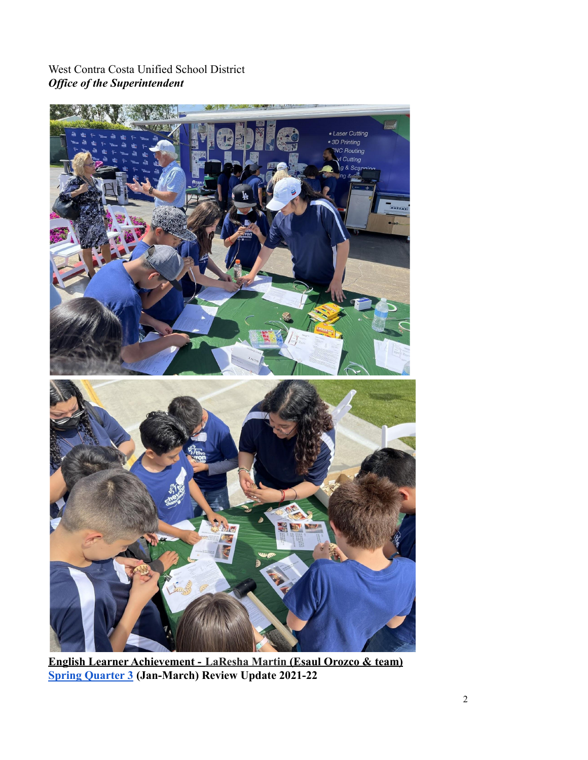West Contra Costa Unified School District *Office of the Superintendent*



**English Learner Achievement - LaResha Martin (Esaul Orozco & team) [Spring Quarter 3](https://docs.google.com/document/d/1FuacBWuGSIG4ckvZw1gR5qLbfJJT6dVXpjXzNfYxVOM/edit?usp=sharing) (Jan-March) Review Update 2021-22**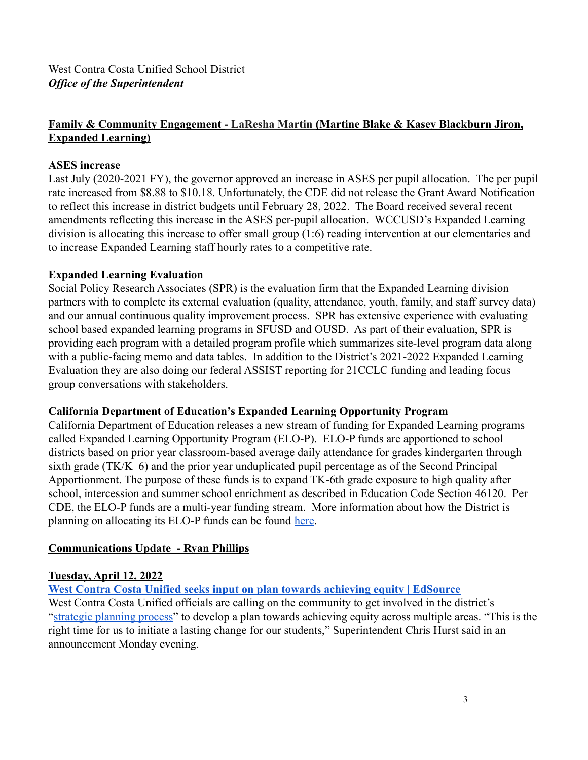## **Family & Community Engagement - LaResha Martin (Martine Blake & Kasey Blackburn Jiron, Expanded Learning)**

#### **ASES increase**

Last July (2020-2021 FY), the governor approved an increase in ASES per pupil allocation. The per pupil rate increased from \$8.88 to \$10.18. Unfortunately, the CDE did not release the Grant Award Notification to reflect this increase in district budgets until February 28, 2022. The Board received several recent amendments reflecting this increase in the ASES per-pupil allocation. WCCUSD's Expanded Learning division is allocating this increase to offer small group (1:6) reading intervention at our elementaries and to increase Expanded Learning staff hourly rates to a competitive rate.

#### **Expanded Learning Evaluation**

Social Policy Research Associates (SPR) is the evaluation firm that the Expanded Learning division partners with to complete its external evaluation (quality, attendance, youth, family, and staff survey data) and our annual continuous quality improvement process. SPR has extensive experience with evaluating school based expanded learning programs in SFUSD and OUSD. As part of their evaluation, SPR is providing each program with a detailed program profile which summarizes site-level program data along with a public-facing memo and data tables. In addition to the District's 2021-2022 Expanded Learning Evaluation they are also doing our federal ASSIST reporting for 21CCLC funding and leading focus group conversations with stakeholders.

#### **California Department of Education's Expanded Learning Opportunity Program**

California Department of Education releases a new stream of funding for Expanded Learning programs called Expanded Learning Opportunity Program (ELO-P). ELO-P funds are apportioned to school districts based on prior year classroom-based average daily attendance for grades kindergarten through sixth grade (TK/K–6) and the prior year unduplicated pupil percentage as of the Second Principal Apportionment. The purpose of these funds is to expand TK-6th grade exposure to high quality after school, intercession and summer school enrichment as described in Education Code Section 46120. Per CDE, the ELO-P funds are a multi-year funding stream. More information about how the District is planning on allocating its ELO-P funds can be found [here](https://docs.google.com/presentation/d/1MPaPCH2RIBSS7u6mY46Dxc05Y8kxQKTiufpfoTQDDME/edit?usp=sharing).

#### **Communications Update - Ryan Phillips**

#### **Tuesday, April 12, 2022**

**[West Contra Costa Unified seeks input on plan towards achieving equity | EdSource](https://edsource.org/updates/west-contra-costa-unified-seeks-input-on-plan-towards-achieving-equity)**

West Contra Costa Unified officials are calling on the community to get involved in the district's "[strategic planning process](https://www.wccusd.net/strategicplan)" to develop a plan towards achieving equity across multiple areas. "This is the right time for us to initiate a lasting change for our students," Superintendent Chris Hurst said in an announcement Monday evening.